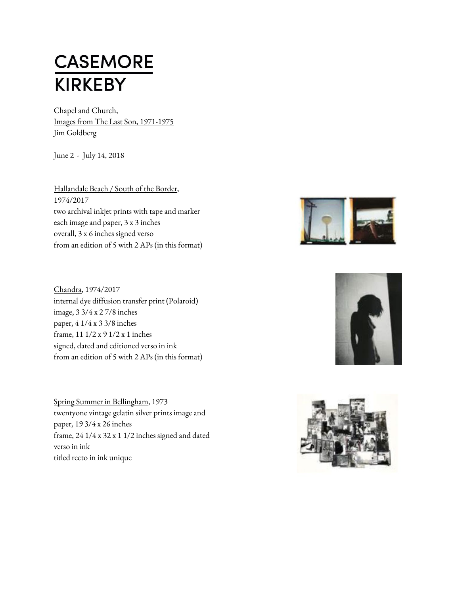## **CASEMORE KIRKEBY**

Chapel and Church, Images from The Last Son, 1971-1975 Jim Goldberg

June 2 - July 14, 2018

Hallandale Beach / South of the Border, 1974/2017 two archival inkjet prints with tape and marker each image and paper, 3 x 3 inches overall, 3 x 6 inches signed verso from an edition of 5 with 2 APs (in this format)

Chandra, 1974/2017 internal dye diffusion transfer print (Polaroid) image, 3 3/4 x 2 7/8 inches paper, 4 1/4 x 3 3/8 inches frame, 11 1/2 x 9 1/2 x 1 inches signed, dated and editioned verso in ink from an edition of 5 with 2 APs (in this format)

Spring Summer in Bellingham, 1973 twentyone vintage gelatin silver prints image and paper, 19 3/4 x 26 inches frame, 24 1/4 x 32 x 1 1/2 inches signed and dated verso in ink titled recto in ink unique





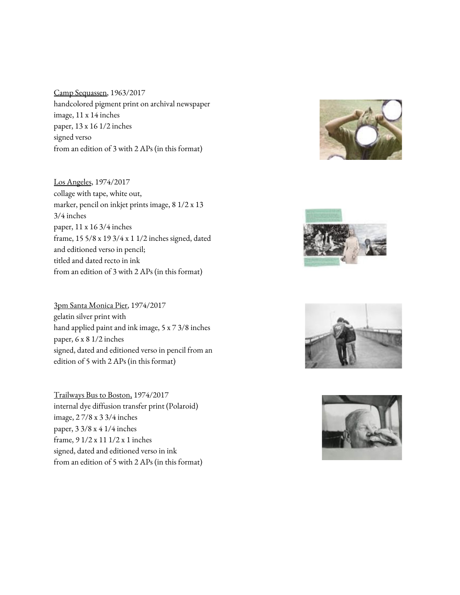Camp Sequassen, 1963/2017 handcolored pigment print on archival newspaper image, 11 x 14 inches paper, 13 x 16 1/2 inches signed verso from an edition of 3 with 2 APs (in this format)

Los Angeles, 1974/2017 collage with tape, white out, marker, pencil on inkjet prints image, 8 1/2 x 13 3/4 inches paper, 11 x 16 3/4 inches frame, 15 5/8 x 19 3/4 x 1 1/2 inches signed, dated and editioned verso in pencil; titled and dated recto in ink from an edition of 3 with 2 APs (in this format)

3pm Santa Monica Pier, 1974/2017 gelatin silver print with hand applied paint and ink image, 5 x 7 3/8 inches paper, 6 x 8 1/2 inches signed, dated and editioned verso in pencil from an edition of 5 with 2 APs (in this format)

Trailways Bus to Boston, 1974/2017 internal dye diffusion transfer print (Polaroid) image, 2 7/8 x 3 3/4 inches paper, 3 3/8 x 4 1/4 inches frame, 9 1/2 x 11 1/2 x 1 inches signed, dated and editioned verso in ink from an edition of 5 with 2 APs (in this format)